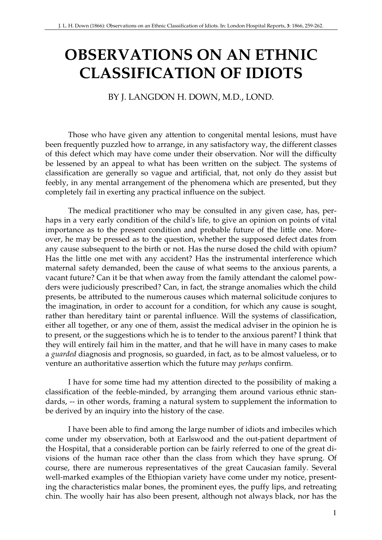## **OBSERVATIONS ON AN ETHNIC CLASSIFICATION OF IDIOTS**

BY J. LANGDON H. DOWN, M.D., LOND.

Those who have given any attention to congenital mental lesions, must have been frequently puzzled how to arrange, in any satisfactory way, the different classes of this defect which may have come under their observation. Nor will the difficulty be lessened by an appeal to what has been written on the subject. The systems of classification are generally so vague and artificial, that, not only do they assist but feebly, in any mental arrangement of the phenomena which are presented, but they completely fail in exerting any practical influence on the subject.

The medical practitioner who may be consulted in any given case, has, perhaps in a very early condition of the child's life, to give an opinion on points of vital importance as to the present condition and probable future of the little one. Moreover, he may be pressed as to the question, whether the supposed defect dates from any cause subsequent to the birth or not. Has the nurse dosed the child with opium? Has the little one met with any accident? Has the instrumental interference which maternal safety demanded, been the cause of what seems to the anxious parents, a vacant future? Can it be that when away from the family attendant the calomel powders were judiciously prescribed? Can, in fact, the strange anomalies which the child presents, be attributed to the numerous causes which maternal solicitude conjures to the imagination, in order to account for a condition, for which any cause is sought, rather than hereditary taint or parental influence. Will the systems of classification, either all together, or any one of them, assist the medical adviser in the opinion he is to present, or the suggestions which he is to tender to the anxious parent? I think that they will entirely fail him in the matter, and that he will have in many cases to make a *guarded* diagnosis and prognosis, so guarded, in fact, as to be almost valueless, or to venture an authoritative assertion which the future may *perhaps* confirm.

I have for some time had my attention directed to the possibility of making a classification of the feeble-minded, by arranging them around various ethnic standards, -- in other words, framing a natural system to supplement the information to be derived by an inquiry into the history of the case.

I have been able to find among the large number of idiots and imbeciles which come under my observation, both at Earlswood and the out-patient department of the Hospital, that a considerable portion can be fairly referred to one of the great divisions of the human race other than the class from which they have sprung. Of course, there are numerous representatives of the great Caucasian family. Several well-marked examples of the Ethiopian variety have come under my notice, presenting the characteristics malar bones, the prominent eyes, the puffy lips, and retreating chin. The woolly hair has also been present, although not always black, nor has the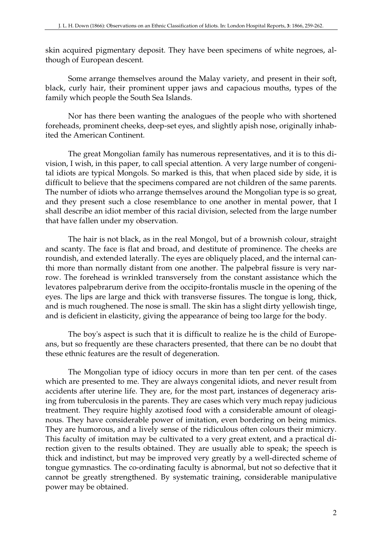skin acquired pigmentary deposit. They have been specimens of white negroes, although of European descent.

Some arrange themselves around the Malay variety, and present in their soft, black, curly hair, their prominent upper jaws and capacious mouths, types of the family which people the South Sea Islands.

Nor has there been wanting the analogues of the people who with shortened foreheads, prominent cheeks, deep-set eyes, and slightly apish nose, originally inhabited the American Continent.

The great Mongolian family has numerous representatives, and it is to this division, I wish, in this paper, to call special attention. A very large number of congenital idiots are typical Mongols. So marked is this, that when placed side by side, it is difficult to believe that the specimens compared are not children of the same parents. The number of idiots who arrange themselves around the Mongolian type is so great, and they present such a close resemblance to one another in mental power, that I shall describe an idiot member of this racial division, selected from the large number that have fallen under my observation.

The hair is not black, as in the real Mongol, but of a brownish colour, straight and scanty. The face is flat and broad, and destitute of prominence. The cheeks are roundish, and extended laterally. The eyes are obliquely placed, and the internal canthi more than normally distant from one another. The palpebral fissure is very narrow. The forehead is wrinkled transversely from the constant assistance which the levatores palpebrarum derive from the occipito-frontalis muscle in the opening of the eyes. The lips are large and thick with transverse fissures. The tongue is long, thick, and is much roughened. The nose is small. The skin has a slight dirty yellowish tinge, and is deficient in elasticity, giving the appearance of being too large for the body.

The boy's aspect is such that it is difficult to realize he is the child of Europeans, but so frequently are these characters presented, that there can be no doubt that these ethnic features are the result of degeneration.

The Mongolian type of idiocy occurs in more than ten per cent. of the cases which are presented to me. They are always congenital idiots, and never result from accidents after uterine life. They are, for the most part, instances of degeneracy arising from tuberculosis in the parents. They are cases which very much repay judicious treatment. They require highly azotised food with a considerable amount of oleaginous. They have considerable power of imitation, even bordering on being mimics. They are humorous, and a lively sense of the ridiculous often colours their mimicry. This faculty of imitation may be cultivated to a very great extent, and a practical direction given to the results obtained. They are usually able to speak; the speech is thick and indistinct, but may be improved very greatly by a well-directed scheme of tongue gymnastics. The co-ordinating faculty is abnormal, but not so defective that it cannot be greatly strengthened. By systematic training, considerable manipulative power may be obtained.